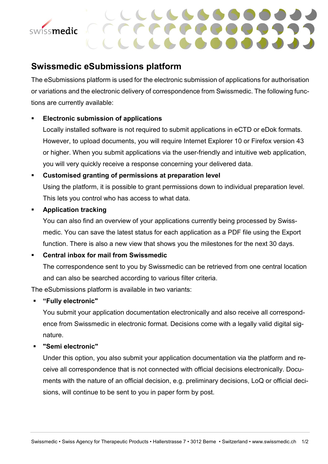



# **Swissmedic eSubmissions platform**

The eSubmissions platform is used for the electronic submission of applications for authorisation or variations and the electronic delivery of correspondence from Swissmedic. The following functions are currently available:

## **Electronic submission of applications**

Locally installed software is not required to submit applications in eCTD or eDok formats. However, to upload documents, you will require Internet Explorer 10 or Firefox version 43 or higher. When you submit applications via the user-friendly and intuitive web application, you will very quickly receive a response concerning your delivered data.

### **Customised granting of permissions at preparation level**

Using the platform, it is possible to grant permissions down to individual preparation level. This lets you control who has access to what data.

#### **Application tracking**

You can also find an overview of your applications currently being processed by Swissmedic. You can save the latest status for each application as a PDF file using the Export function. There is also a new view that shows you the milestones for the next 30 days.

#### **Central inbox for mail from Swissmedic**

The correspondence sent to you by Swissmedic can be retrieved from one central location and can also be searched according to various filter criteria.

The eSubmissions platform is available in two variants:

#### **"Fully electronic"**

You submit your application documentation electronically and also receive all correspondence from Swissmedic in electronic format. Decisions come with a legally valid digital signature.

#### **"Semi electronic"**

Under this option, you also submit your application documentation via the platform and receive all correspondence that is not connected with official decisions electronically. Documents with the nature of an official decision, e.g. preliminary decisions, LoQ or official decisions, will continue to be sent to you in paper form by post.